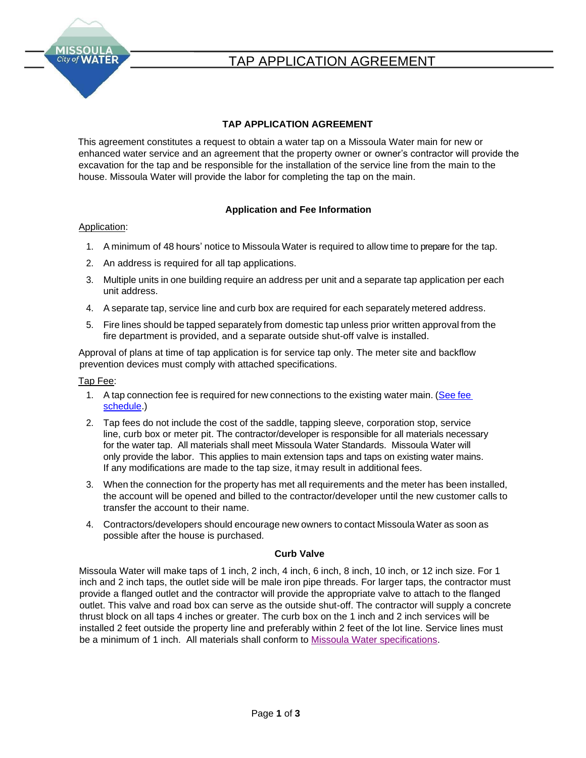

# TAP APPLICATION AGREEMENT

### **TAP APPLICATION AGREEMENT**

This agreement constitutes a request to obtain a water tap on a Missoula Water main for new or enhanced water service and an agreement that the property owner or owner's contractor will provide the excavation for the tap and be responsible for the installation of the service line from the main to the house. Missoula Water will provide the labor for completing the tap on the main.

### **Application and Fee Information**

### Application:

- 1. A minimum of 48 hours' notice to Missoula Water is required to allow time to prepare for the tap.
- 2. An address is required for all tap applications.
- 3. Multiple units in one building require an address per unit and a separate tap application per each unit address.
- 4. A separate tap, service line and curb box are required for each separately metered address.
- 5. Fire lines should be tapped separately from domestic tap unless prior written approval from the fire department is provided, and a separate outside shut-off valve is installed.

Approval of plans at time of tap application is for service tap only. The meter site and backflow prevention devices must comply with attached specifications.

### Tap Fee:

- 1. A tap connection fee is required for new connections to the existing water main. [\(See](file://///cityfiles.ci.missoula.mt.us/group/Missoula%20Water/Dispatch/Tap%20Documents/Tap%20Connection%20Fees%2022-24.pdf) fee [schedule.](file://///cityfiles.ci.missoula.mt.us/group/Missoula%20Water/Dispatch/Tap%20Documents/Tap%20Connection%20Fees%2022-24.pdf))
- 2. Tap fees do not include the cost of the saddle, tapping sleeve, corporation stop, service line, curb box or meter pit. The contractor/developer is responsible for all materials necessary for the water tap. All materials shall meet Missoula Water Standards. Missoula Water will only provide the labor. This applies to main extension taps and taps on existing water mains. If any modifications are made to the tap size, itmay result in additional fees.
- 3. When the connection for the property has met all requirements and the meter has been installed, the account will be opened and billed to the contractor/developer until the new customer calls to transfer the account to their name.
- 4. Contractors/developers should encourage new owners to contact Missoula Water as soon as possible after the house is purchased.

### **Curb Valve**

Missoula Water will make taps of 1 inch, 2 inch, 4 inch, 6 inch, 8 inch, 10 inch, or 12 inch size. For 1 inch and 2 inch taps, the outlet side will be male iron pipe threads. For larger taps, the contractor must provide a flanged outlet and the contractor will provide the appropriate valve to attach to the flanged outlet. This valve and road box can serve as the outside shut-off. The contractor will supply a concrete thrust block on all taps 4 inches or greater. The curb box on the 1 inch and 2 inch services will be installed 2 feet outside the property line and preferably within 2 feet of the lot line. Service lines must [be a minimum of](https://www.ci.missoula.mt.us/DocumentCenter/View/37958) [1 inch.](https://www.ci.missoula.mt.us/DocumentCenter/View/37958) All materials shall conform to [Missoula Water specifications.](http://www.ci.missoula.mt.us/DocumentCenter/View/58689/Chap-4-Water)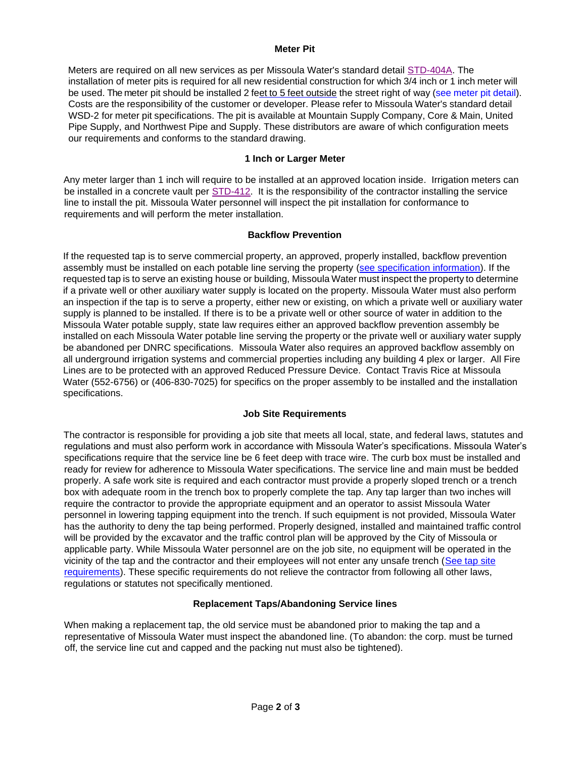#### **Meter Pit**

Meters are required on all new services as per Missoula Water's standard detail [STD-404A.](https://www.ci.missoula.mt.us/DocumentCenter/View/58727/STD-404A-Typical-Residential-Water-Service-Detail) The installation of meter pits is required for all new residential construction for which 3/4 inch or 1 inch meter will be used. The meter pit should be installed 2 feet to 5 feet outside the street right of way [\(see](https://www.ci.missoula.mt.us/DocumentCenter/View/37953) [meter](https://www.ci.missoula.mt.us/DocumentCenter/View/58727/STD-404A-Typical-Residential-Water-Service-Detail) pit det[ail\).](https://www.ci.missoula.mt.us/DocumentCenter/View/37953) Costs are the responsibility of the customer or developer. Please refer to Missoula Water's standard detail WSD-2 for meter pit specifications. The pit is available at Mountain Supply Company, Core & Main, United Pipe Supply, and Northwest Pipe and Supply. These distributors are aware of which configuration meets our requirements and conforms to the standard drawing.

### **1 Inch or Larger Meter**

Any meter larger than 1 inch will require to be installed at an approved location inside. Irrigation meters can be installed in a concrete vault per [STD-412.](https://www.ci.missoula.mt.us/DocumentCenter/View/58734/STD-412-Large--1-12--2-Irrigation-Meter-Pit-Detail) It is the responsibility of the contractor installing the service line to install the pit. Missoula Water personnel will inspect the pit installation for conformance to requirements and will perform the meter installation.

### **Backflow Prevention**

If the requested tap is to serve commercial property, an approved, properly installed, backflow prevention assembly must be installed on each potable line serving the property [\(see specification information\). I](https://www.ci.missoula.mt.us/DocumentCenter/View/37971)f the requested tap is to serve an existing house or building, Missoula Water must inspect the property to determine if a private well or other auxiliary water supply is located on the property. Missoula Water must also perform an inspection if the tap is to serve a property, either new or existing, on which a private well or auxiliary water supply is planned to be installed. If there is to be a private well or other source of water in addition to the Missoula Water potable supply, state law requires either an approved backflow prevention assembly be installed on each Missoula Water potable line serving the property or the private well or auxiliary water supply be abandoned per DNRC specifications. Missoula Water also requires an approved backflow assembly on all underground irrigation systems and commercial properties including any building 4 plex or larger. All Fire Lines are to be protected with an approved Reduced Pressure Device. Contact Travis Rice at Missoula Water (552-6756) or (406-830-7025) for specifics on the proper assembly to be installed and the installation specifications.

### **Job Site Requirements**

The contractor is responsible for providing a job site that meets all local, state, and federal laws, statutes and regulations and must also perform work in accordance with Missoula Water's specifications. Missoula Water's specifications require that the service line be 6 feet deep with trace wire. The curb box must be installed and ready for review for adherence to Missoula Water specifications. The service line and main must be bedded properly. A safe work site is required and each contractor must provide a properly sloped trench or a trench box with adequate room in the trench box to properly complete the tap. Any tap larger than two inches will require the contractor to provide the appropriate equipment and an operator to assist Missoula Water personnel in lowering tapping equipment into the trench. If such equipment is not provided, Missoula Water has the authority to deny the tap being performed. Properly designed, installed and maintained traffic control will be provided by the excavator and the traffic control plan will be approved by the City of Missoula or applicable party. While Missoula Water personnel are on the job site, no equipment will be operated in the [vicinity of the tap and the contractor and their employees will not enter any unsafe trench \(See tap site](https://www.ci.missoula.mt.us/DocumentCenter/View/37972) [requirements\). These specific requirements do not relieve the contractor from following all other laws,](https://www.ci.missoula.mt.us/DocumentCenter/View/37972) regulations or statutes not specifically mentioned.

### **Replacement Taps/Abandoning Service lines**

When making a replacement tap, the old service must be abandoned prior to making the tap and a representative of Missoula Water must inspect the abandoned line. (To abandon: the corp. must be turned off, the service line cut and capped and the packing nut must also be tightened).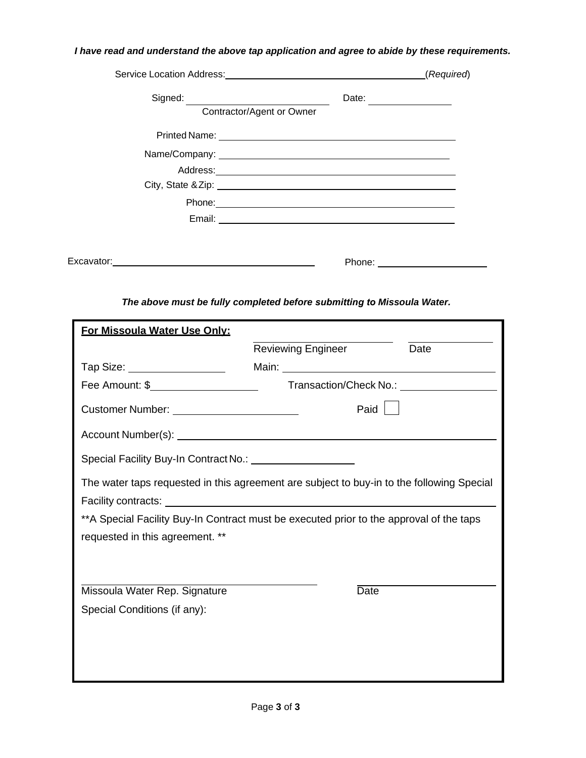# *I have read and understand the above tap application and agree to abide by these requirements.*

|                                        |                                                                                                                                                                                                                                      | (Required) |
|----------------------------------------|--------------------------------------------------------------------------------------------------------------------------------------------------------------------------------------------------------------------------------------|------------|
| Signed: <u>_______________________</u> | Date:<br>Contractor/Agent or Owner                                                                                                                                                                                                   |            |
|                                        |                                                                                                                                                                                                                                      |            |
|                                        |                                                                                                                                                                                                                                      |            |
|                                        |                                                                                                                                                                                                                                      |            |
|                                        | City, State & Zip: 2008 City, State & Zip:                                                                                                                                                                                           |            |
|                                        | Phone: <u>Alexander Alexander Alexander Alexander Alexander Alexander Alexander Alexander Alexander Alexander Alexander Alexander Alexander Alexander Alexander Alexander Alexander Alexander Alexander Alexander Alexander Alex</u> |            |
|                                        |                                                                                                                                                                                                                                      |            |
|                                        |                                                                                                                                                                                                                                      |            |
| Excavator:                             | Phone: <u>___________________</u>                                                                                                                                                                                                    |            |

*The above must be fully completed before submitting to Missoula Water.* 

| For Missoula Water Use Only:                                                              |                           |                                              |  |
|-------------------------------------------------------------------------------------------|---------------------------|----------------------------------------------|--|
|                                                                                           | <b>Reviewing Engineer</b> | Date                                         |  |
| Tap Size: ___________________                                                             |                           |                                              |  |
| Fee Amount: \$______________________                                                      |                           | Transaction/Check No.: \\squire{\mathbf{c}}} |  |
| Customer Number: _________________________                                                |                           | Paid                                         |  |
|                                                                                           |                           |                                              |  |
| Special Facility Buy-In Contract No.: \\squire{\mathbf{c}}}                               |                           |                                              |  |
| The water taps requested in this agreement are subject to buy-in to the following Special |                           |                                              |  |
|                                                                                           |                           |                                              |  |
| **A Special Facility Buy-In Contract must be executed prior to the approval of the taps   |                           |                                              |  |
| requested in this agreement. **                                                           |                           |                                              |  |
|                                                                                           |                           |                                              |  |
|                                                                                           |                           |                                              |  |
| Missoula Water Rep. Signature                                                             |                           | <b>Date</b>                                  |  |
| Special Conditions (if any):                                                              |                           |                                              |  |
|                                                                                           |                           |                                              |  |
|                                                                                           |                           |                                              |  |
|                                                                                           |                           |                                              |  |
|                                                                                           |                           |                                              |  |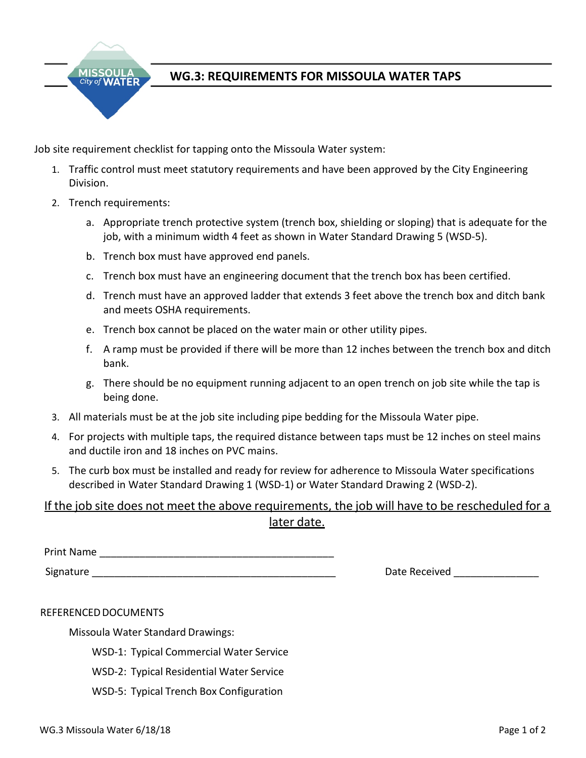

# **WG.3: REQUIREMENTS FOR MISSOULA WATER TAPS**

Job site requirement checklist for tapping onto the Missoula Water system:

- 1. Traffic control must meet statutory requirements and have been approved by the City Engineering Division.
- 2. Trench requirements:
	- a. Appropriate trench protective system (trench box, shielding or sloping) that is adequate for the job, with a minimum width 4 feet as shown in Water Standard Drawing 5 (WSD-5).
	- b. Trench box must have approved end panels.
	- c. Trench box must have an engineering document that the trench box has been certified.
	- d. Trench must have an approved ladder that extends 3 feet above the trench box and ditch bank and meets OSHA requirements.
	- e. Trench box cannot be placed on the water main or other utility pipes.
	- f. A ramp must be provided if there will be more than 12 inches between the trench box and ditch bank.
	- g. There should be no equipment running adjacent to an open trench on job site while the tap is being done.
- 3. All materials must be at the job site including pipe bedding for the Missoula Water pipe.
- 4. For projects with multiple taps, the required distance between taps must be 12 inches on steel mains and ductile iron and 18 inches on PVC mains.
- 5. The curb box must be installed and ready for review for adherence to Missoula Water specifications described in Water Standard Drawing 1 (WSD-1) or Water Standard Drawing 2 (WSD-2).

# If the job site does not meet the above requirements, the job will have to be rescheduled for a later date.

Print Name

Signature **Example 2018** Signature **Contract 2018** Signature **Contract 2018** Signature **Contract 2018** Signature **Contract 2018** Signature **Contract 2018** Signature **Contract 2018** Signature **Contract 2018** Signature **Cont** 

### REFERENCED DOCUMENTS

Missoula Water Standard Drawings:

WSD-1: Typical [Commercial Water Service](http://www.mtnwater.com/attachments/eng.contractors/SD-1%20COMMERCIAL%20WATER%20SERVICE.pdf)

- WSD-2: Typical [Residential Water Service](http://www.mtnwater.com/attachments/eng.contractors/SD-2%20TYPICAL%20RESIDENTIAL%20WATER%20SERVICE.pdf)
- WSD-5: Typical Trench Box [Configuration](http://www.mtnwater.com/attachments/eng.contractors/SD-5%20Typical%20TrenchBox%20Model.pdf)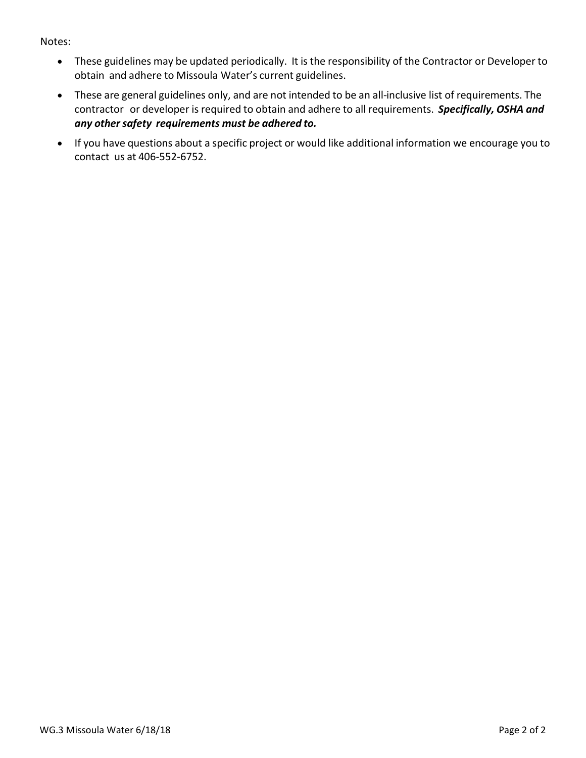## Notes:

- These guidelines may be updated periodically. It is the responsibility of the Contractor or Developer to obtain and adhere to Missoula Water's current guidelines.
- These are general guidelines only, and are not intended to be an all-inclusive list of requirements. The contractor or developer is required to obtain and adhere to all requirements. *Specifically, OSHA and any other safety requirements must be adhered to.*
- If you have questions about a specific project or would like additional information we encourage you to contact us at 406-552-6752.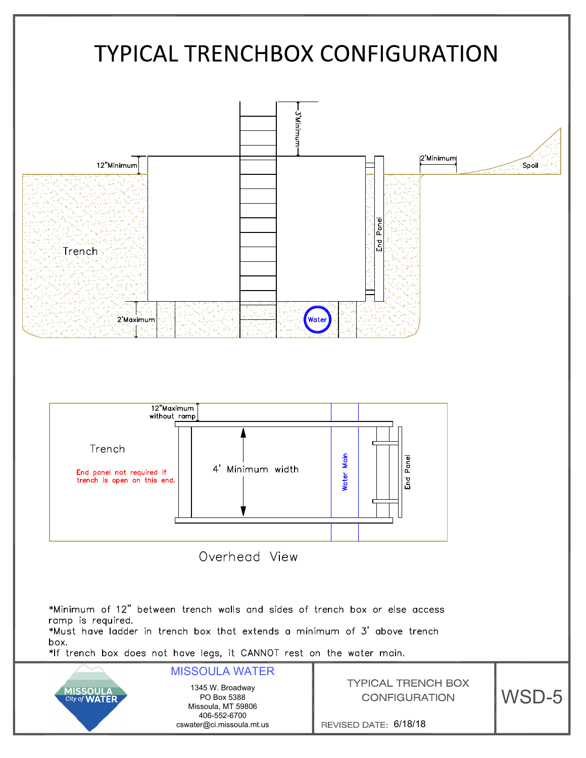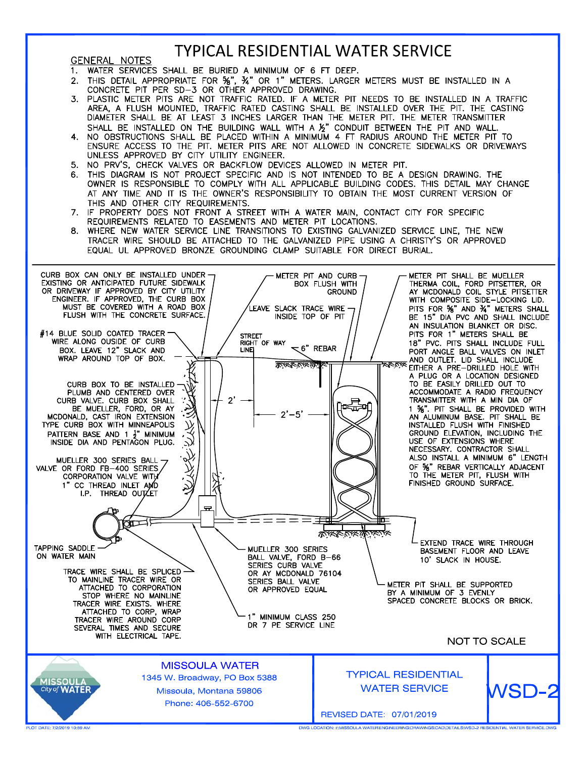# **TYPICAL RESIDENTIAL WATER SERVICE**

#### **GENERAL NOTES**

- $1.$
- WATER SERVICES SHALL BE BURIED A MINIMUM OF 6 FT DEEP.<br>THIS DETAIL APPROPRIATE FOR 5%", 3%" OR 1" METERS. LARGER METERS MUST BE INSTALLED IN A<br>CONCRETE PIT PER SD-3 OR OTHER APPROVED DRAWING.  $2.$
- $\overline{3}$ PLASTIC METER PITS ARE NOT TRAFFIC RATED. IF A METER PIT NEEDS TO BE INSTALLED IN A TRAFFIC AREA, A FLUSH MOUNTED, TRAFFIC RATED CASTING SHALL BE INSTALLED OVER THE PIT. THE CASTING DIAMETER SHALL BE AT LEAST 3 INCHES LARGER THAN THE METER PIT. THE METER TRANSMITTER
- SHALL BE INSTALLED ON THE BUILDING WALL WITH A 1/2" CONDUIT BETWEEN THE PIT AND WALL.<br>4. NO OBSTRUCTIONS SHALL BE PLACED WITHIN A MINIMUM 4 FT RADIUS AROUND THE METER PIT TO<br>ENSURE ACCESS TO THE PIT. METER PITS ARE NOT ALL UNLESS APPROVED BY CITY UTILITY ENGINEER.
- 5. NO PRV'S, CHECK VALVES OR BACKFLOW DEVICES ALLOWED IN METER PIT.
- 6. THIS DIAGRAM IS NOT PROJECT SPECIFIC AND IS NOT INTENDED TO BE A DESIGN DRAWING. THE OWNER IS RESPONSIBLE TO COMPLY WITH ALL APPLICABLE BUILDING CODES. THIS DETAIL MAY CHANGE AT ANY TIME AND IT IS THE OWNER'S RESPONSIBILITY TO OBTAIN THE MOST CURRENT VERSION OF THIS AND OTHER CITY REQUIREMENTS.
- 7. IF PROPERTY DOES NOT FRONT A STREET WITH A WATER MAIN, CONTACT CITY FOR SPECIFIC REQUIREMENTS RELATED TO EASEMENTS AND METER PIT LOCATIONS.
- WHERE NEW WATER SERVICE LINE TRANSITIONS TO EXISTING GALVANIZED SERVICE LINE, THE NEW 8. TRACER WIRE SHOULD BE ATTACHED TO THE GALVANIZED PIPE USING A CHRISTY'S OR APPROVED EQUAL UL APPROVED BRONZE GROUNDING CLAMP SUITABLE FOR DIRECT BURIAL.



.<br>TION: INMISSOULA WATER\ENGINEERING\DRAWINGS\CAD\DETAILS\WSD-2 RESIDENTIAL WATER SERVICE.D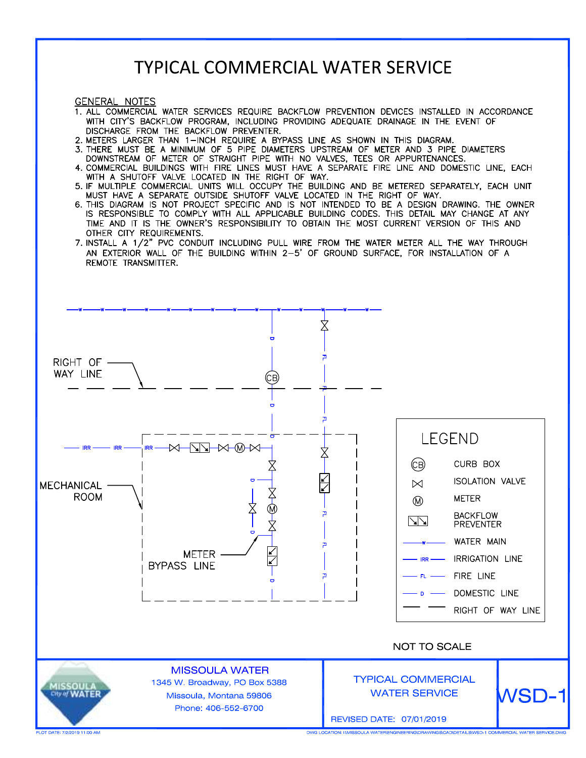# **TYPICAL COMMERCIAL WATER SERVICE**

**GENERAL NOTES** 

- 1. ALL COMMERCIAL WATER SERVICES REQUIRE BACKFLOW PREVENTION DEVICES INSTALLED IN ACCORDANCE WITH CITY'S BACKFLOW PROGRAM, INCLUDING PROVIDING ADEQUATE DRAINAGE IN THE EVENT OF DISCHARGE FROM THE BACKFLOW PREVENTER.
- 
- 2. METERS LARGER THAN 1-INCH REQUIRE A BYPASS LINE AS SHOWN IN THIS DIAGRAM.<br>3. THERE MUST BE A MINIMUM OF 5 PIPE DIAMETERS UPSTREAM OF METER AND 3 PIPE DIAMETERS DOWNSTREAM OF METER OF STRAIGHT PIPE WITH NO VALVES, TEES OR APPURTENANCES.
- 4. COMMERCIAL BUILDINGS WITH FIRE LINES MUST HAVE A SEPARATE FIRE LINE AND DOMESTIC LINE, EACH
- WITH A SHUTOFF VALVE LOCATED IN THE RIGHT OF WAY.<br>5. IF MULTIPLE COMMERCIAL UNITS WILL OCCUPY THE BUILDING AND BE METERED SEPARATELY, EACH UNIT MUST HAVE A SEPARATE OUTSIDE SHUTOFF VALVE LOCATED IN THE RIGHT OF WAY.
- 6. THIS DIAGRAM IS NOT PROJECT SPECIFIC AND IS NOT INTENDED TO BE A DESIGN DRAWING. THE OWNER IS RESPONSIBLE TO COMPLY WITH ALL APPLICABLE BUILDING CODES. THIS DETAIL MAY CHANGE AT ANY TIME AND IT IS THE OWNER'S RESPONSIBILITY TO OBTAIN THE MOST CURRENT VERSION OF THIS AND OTHER CITY REQUIREMENTS.
- 7. INSTALL A 1/2" PVC CONDUIT INCLUDING PULL WIRE FROM THE WATER METER ALL THE WAY THROUGH AN EXTERIOR WALL OF THE BUILDING WITHIN 2-5' OF GROUND SURFACE, FOR INSTALLATION OF A REMOTE TRANSMITTER.



DWG LOCATION: INMISSOULA WATER\ENGINEERING\DRAWINGS\CAD\DETAILS\WSD-1 COMMERCIAL WATER SERVICE.D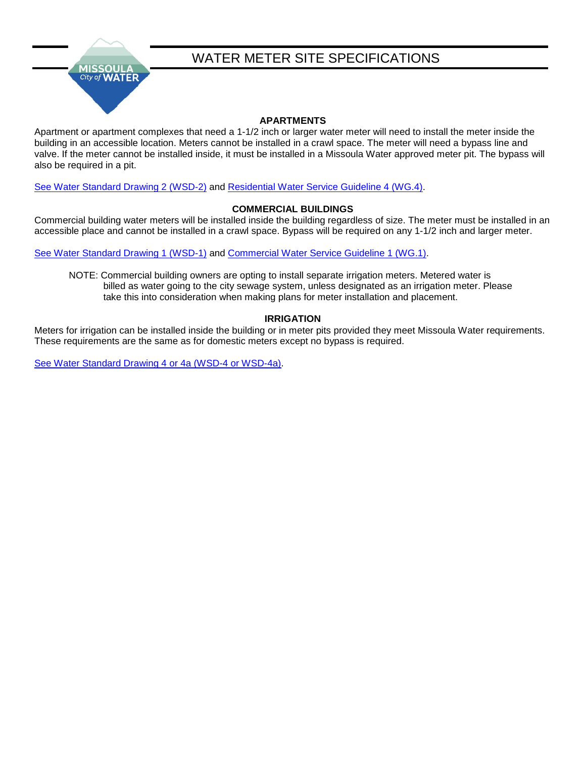

# WATER METER SITE SPECIFICATIONS

## **APARTMENTS**

Apartment or apartment complexes that need a 1-1/2 inch or larger water meter will need to install the meter inside the building in an accessible location. Meters cannot be installed in a crawl space. The meter will need a bypass line and valve. If the meter cannot be installed inside, it must be installed in a Missoula Water approved meter pit. The bypass will also be required in a pit.

[See Water Standard Drawing 2 \(WSD-2\)](https://www.ci.missoula.mt.us/DocumentCenter/View/37953) and [Residential Water Service Guideline 4 \(WG.4\).](https://www.ci.missoula.mt.us/DocumentCenter/View/37973)

### **COMMERCIAL BUILDINGS**

Commercial building water meters will be installed inside the building regardless of size. The meter must be installed in an accessible place and cannot be installed in a crawl space. Bypass will be required on any 1-1/2 inch and larger meter.

[See Water Standard Drawing 1 \(WSD-1\)](https://www.ci.missoula.mt.us/DocumentCenter/View/37952) and [Commercial Water Service Guideline 1 \(WG.1\).](https://www.ci.missoula.mt.us/DocumentCenter/View/37970)

NOTE: Commercial building owners are opting to install separate irrigation meters. Metered water is billed as water going to the city sewage system, unless designated as an irrigation meter. Please take this into consideration when making plans for meter installation and placement.

### **IRRIGATION**

Meters for irrigation can be installed inside the building or in meter pits provided they meet Missoula Water requirements. These requirements are the same as for domestic meters except no bypass is required.

[See Water Standard Drawing 4 or 4a \(WSD-4 or WSD-4a\).](https://www.ci.missoula.mt.us/2102/StandardsGuidelines)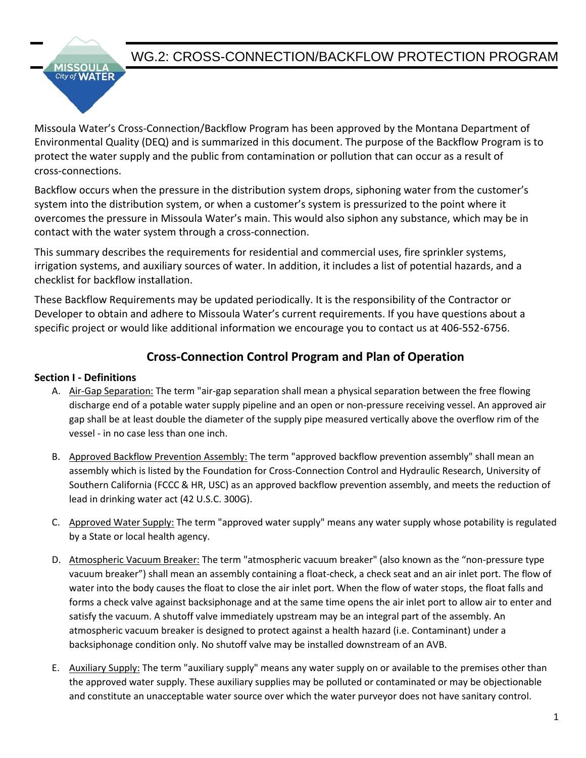

**WATER** City of

Missoula Water's Cross‐Connection/Backflow Program has been approved by the Montana Department of Environmental Quality (DEQ) and is summarized in this document. The purpose of the Backflow Program is to protect the water supply and the public from contamination or pollution that can occur as a result of cross‐connections.

Backflow occurs when the pressure in the distribution system drops, siphoning water from the customer's system into the distribution system, or when a customer's system is pressurized to the point where it overcomes the pressure in Missoula Water's main. This would also siphon any substance, which may be in contact with the water system through a cross‐connection.

This summary describes the requirements for residential and commercial uses, fire sprinkler systems, irrigation systems, and auxiliary sources of water. In addition, it includes a list of potential hazards, and a checklist for backflow installation.

These Backflow Requirements may be updated periodically. It is the responsibility of the Contractor or Developer to obtain and adhere to Missoula Water's current requirements. If you have questions about a specific project or would like additional information we encourage you to contact us at 406‐552-6756.

# **Cross-Connection Control Program and Plan of Operation**

## **Section I - Definitions**

- A. Air-Gap Separation: The term "air-gap separation shall mean a physical separation between the free flowing discharge end of a potable water supply pipeline and an open or non-pressure receiving vessel. An approved air gap shall be at least double the diameter of the supply pipe measured vertically above the overflow rim of the vessel - in no case less than one inch.
- B. Approved Backflow Prevention Assembly: The term "approved backflow prevention assembly" shall mean an assembly which is listed by the Foundation for Cross-Connection Control and Hydraulic Research, University of Southern California (FCCC & HR, USC) as an approved backflow prevention assembly, and meets the reduction of lead in drinking water act (42 U.S.C. 300G).
- C. Approved Water Supply: The term "approved water supply" means any water supply whose potability is regulated by a State or local health agency.
- D. Atmospheric Vacuum Breaker: The term "atmospheric vacuum breaker" (also known as the "non-pressure type vacuum breaker") shall mean an assembly containing a float-check, a check seat and an air inlet port. The flow of water into the body causes the float to close the air inlet port. When the flow of water stops, the float falls and forms a check valve against backsiphonage and at the same time opens the air inlet port to allow air to enter and satisfy the vacuum. A shutoff valve immediately upstream may be an integral part of the assembly. An atmospheric vacuum breaker is designed to protect against a health hazard (i.e. Contaminant) under a backsiphonage condition only. No shutoff valve may be installed downstream of an AVB.
- E. Auxiliary Supply: The term "auxiliary supply" means any water supply on or available to the premises other than the approved water supply. These auxiliary supplies may be polluted or contaminated or may be objectionable and constitute an unacceptable water source over which the water purveyor does not have sanitary control.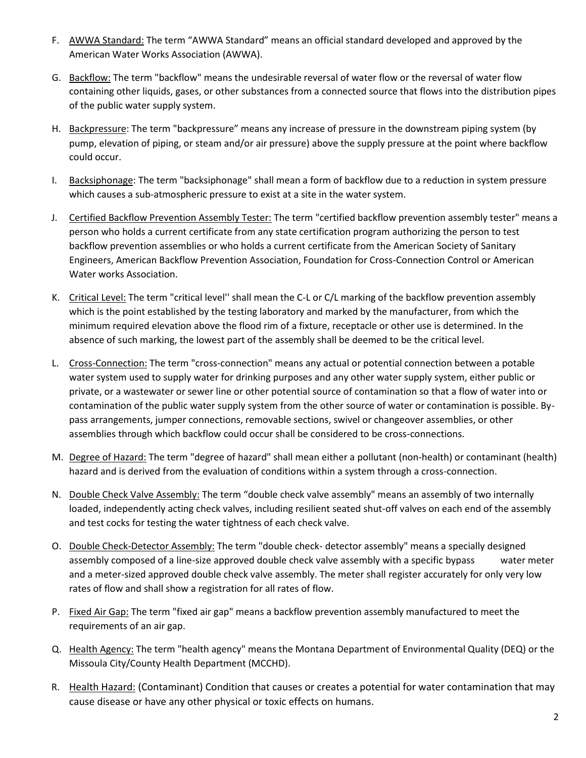- F. AWWA Standard: The term "AWWA Standard" means an official standard developed and approved by the American Water Works Association (AWWA).
- G. Backflow: The term "backflow" means the undesirable reversal of water flow or the reversal of water flow containing other liquids, gases, or other substances from a connected source that flows into the distribution pipes of the public water supply system.
- H. Backpressure: The term "backpressure" means any increase of pressure in the downstream piping system (by pump, elevation of piping, or steam and/or air pressure) above the supply pressure at the point where backflow could occur.
- I. Backsiphonage: The term "backsiphonage" shall mean a form of backflow due to a reduction in system pressure which causes a sub-atmospheric pressure to exist at a site in the water system.
- J. Certified Backflow Prevention Assembly Tester: The term "certified backflow prevention assembly tester" means a person who holds a current certificate from any state certification program authorizing the person to test backflow prevention assemblies or who holds a current certificate from the American Society of Sanitary Engineers, American Backflow Prevention Association, Foundation for Cross-Connection Control or American Water works Association.
- K. Critical Level: The term "critical level'' shall mean the C-L or C/L marking of the backflow prevention assembly which is the point established by the testing laboratory and marked by the manufacturer, from which the minimum required elevation above the flood rim of a fixture, receptacle or other use is determined. In the absence of such marking, the lowest part of the assembly shall be deemed to be the critical level.
- L. Cross-Connection: The term "cross-connection" means any actual or potential connection between a potable water system used to supply water for drinking purposes and any other water supply system, either public or private, or a wastewater or sewer line or other potential source of contamination so that a flow of water into or contamination of the public water supply system from the other source of water or contamination is possible. Bypass arrangements, jumper connections, removable sections, swivel or changeover assemblies, or other assemblies through which backflow could occur shall be considered to be cross-connections.
- M. Degree of Hazard: The term "degree of hazard" shall mean either a pollutant (non-health) or contaminant (health) hazard and is derived from the evaluation of conditions within a system through a cross-connection.
- N. Double Check Valve Assembly: The term "double check valve assembly" means an assembly of two internally loaded, independently acting check valves, including resilient seated shut-off valves on each end of the assembly and test cocks for testing the water tightness of each check valve.
- O. Double Check-Detector Assembly: The term "double check- detector assembly" means a specially designed assembly composed of a line-size approved double check valve assembly with a specific bypass water meter and a meter-sized approved double check valve assembly. The meter shall register accurately for only very low rates of flow and shall show a registration for all rates of flow.
- P. Fixed Air Gap: The term "fixed air gap" means a backflow prevention assembly manufactured to meet the requirements of an air gap.
- Q. Health Agency: The term "health agency" means the Montana Department of Environmental Quality (DEQ) or the Missoula City/County Health Department (MCCHD).
- R. Health Hazard: (Contaminant) Condition that causes or creates a potential for water contamination that may cause disease or have any other physical or toxic effects on humans.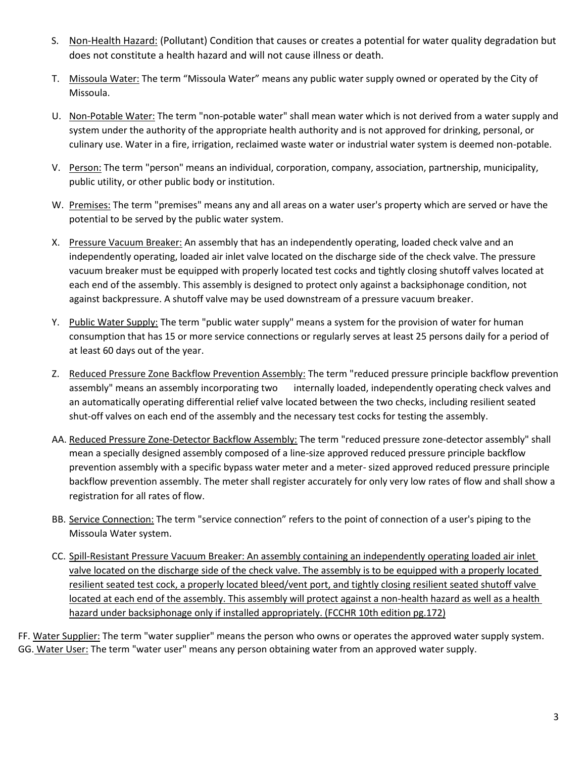- S. Non-Health Hazard: (Pollutant) Condition that causes or creates a potential for water quality degradation but does not constitute a health hazard and will not cause illness or death.
- T. Missoula Water: The term "Missoula Water" means any public water supply owned or operated by the City of Missoula.
- U. Non-Potable Water: The term "non-potable water" shall mean water which is not derived from a water supply and system under the authority of the appropriate health authority and is not approved for drinking, personal, or culinary use. Water in a fire, irrigation, reclaimed waste water or industrial water system is deemed non-potable.
- V. Person: The term "person" means an individual, corporation, company, association, partnership, municipality, public utility, or other public body or institution.
- W. Premises: The term "premises" means any and all areas on a water user's property which are served or have the potential to be served by the public water system.
- X. Pressure Vacuum Breaker: An assembly that has an independently operating, loaded check valve and an independently operating, loaded air inlet valve located on the discharge side of the check valve. The pressure vacuum breaker must be equipped with properly located test cocks and tightly closing shutoff valves located at each end of the assembly. This assembly is designed to protect only against a backsiphonage condition, not against backpressure. A shutoff valve may be used downstream of a pressure vacuum breaker.
- Y. Public Water Supply: The term "public water supply" means a system for the provision of water for human consumption that has 15 or more service connections or regularly serves at least 25 persons daily for a period of at least 60 days out of the year.
- Z. Reduced Pressure Zone Backflow Prevention Assembly: The term "reduced pressure principle backflow prevention assembly" means an assembly incorporating two internally loaded, independently operating check valves and an automatically operating differential relief valve located between the two checks, including resilient seated shut-off valves on each end of the assembly and the necessary test cocks for testing the assembly.
- AA. Reduced Pressure Zone-Detector Backflow Assembly: The term "reduced pressure zone-detector assembly" shall mean a specially designed assembly composed of a line-size approved reduced pressure principle backflow prevention assembly with a specific bypass water meter and a meter- sized approved reduced pressure principle backflow prevention assembly. The meter shall register accurately for only very low rates of flow and shall show a registration for all rates of flow.
- BB. Service Connection: The term "service connection" refers to the point of connection of a user's piping to the Missoula Water system.
- CC. Spill-Resistant Pressure Vacuum Breaker: An assembly containing an independently operating loaded air inlet valve located on the discharge side of the check valve. The assembly is to be equipped with a properly located resilient seated test cock, a properly located bleed/vent port, and tightly closing resilient seated shutoff valve located at each end of the assembly. This assembly will protect against a non-health hazard as well as a health hazard under backsiphonage only if installed appropriately. (FCCHR 10th edition pg.172)

FF. Water Supplier: The term "water supplier" means the person who owns or operates the approved water supply system. GG. Water User: The term "water user" means any person obtaining water from an approved water supply.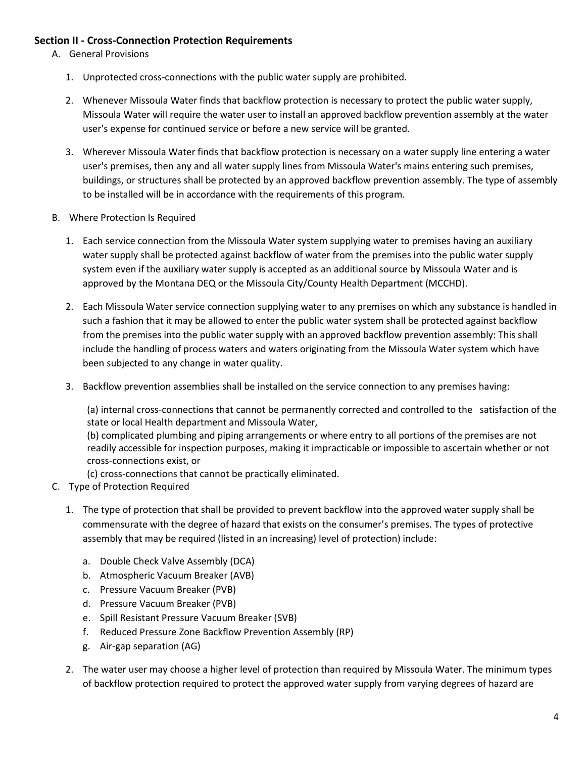## **Section II - Cross-Connection Protection Requirements**

- A. General Provisions
	- 1. Unprotected cross-connections with the public water supply are prohibited.
	- 2. Whenever Missoula Water finds that backflow protection is necessary to protect the public water supply, Missoula Water will require the water user to install an approved backflow prevention assembly at the water user's expense for continued service or before a new service will be granted.
	- 3. Wherever Missoula Water finds that backflow protection is necessary on a water supply line entering a water user's premises, then any and all water supply lines from Missoula Water's mains entering such premises, buildings, or structures shall be protected by an approved backflow prevention assembly. The type of assembly to be installed will be in accordance with the requirements of this program.
- B. Where Protection Is Required
	- 1. Each service connection from the Missoula Water system supplying water to premises having an auxiliary water supply shall be protected against backflow of water from the premises into the public water supply system even if the auxiliary water supply is accepted as an additional source by Missoula Water and is approved by the Montana DEQ or the Missoula City/County Health Department (MCCHD).
	- 2. Each Missoula Water service connection supplying water to any premises on which any substance is handled in such a fashion that it may be allowed to enter the public water system shall be protected against backflow from the premises into the public water supply with an approved backflow prevention assembly: This shall include the handling of process waters and waters originating from the Missoula Water system which have been subjected to any change in water quality.
	- 3. Backflow prevention assemblies shall be installed on the service connection to any premises having:

(a) internal cross-connections that cannot be permanently corrected and controlled to the satisfaction of the state or local Health department and Missoula Water,

(b) complicated plumbing and piping arrangements or where entry to all portions of the premises are not readily accessible for inspection purposes, making it impracticable or impossible to ascertain whether or not cross-connections exist, or

(c) cross-connections that cannot be practically eliminated.

- C. Type of Protection Required
	- 1. The type of protection that shall be provided to prevent backflow into the approved water supply shall be commensurate with the degree of hazard that exists on the consumer's premises. The types of protective assembly that may be required (listed in an increasing) level of protection) include:
		- a. Double Check Valve Assembly (DCA)
		- b. Atmospheric Vacuum Breaker (AVB)
		- c. Pressure Vacuum Breaker (PVB)
		- d. Pressure Vacuum Breaker (PVB)
		- e. Spill Resistant Pressure Vacuum Breaker (SVB)
		- f. Reduced Pressure Zone Backflow Prevention Assembly (RP)
		- g. Air-gap separation (AG)
	- 2. The water user may choose a higher level of protection than required by Missoula Water. The minimum types of backflow protection required to protect the approved water supply from varying degrees of hazard are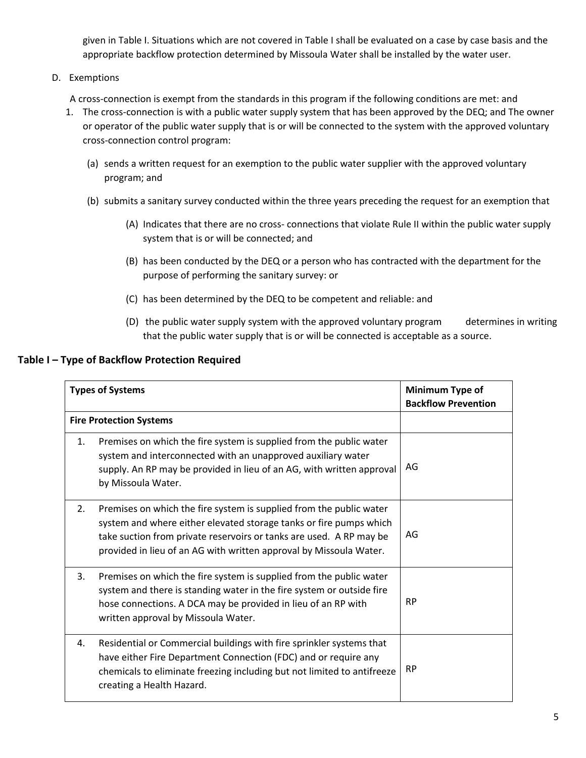given in Table I. Situations which are not covered in Table I shall be evaluated on a case by case basis and the appropriate backflow protection determined by Missoula Water shall be installed by the water user.

D. Exemptions

A cross-connection is exempt from the standards in this program if the following conditions are met: and

- 1. The cross-connection is with a public water supply system that has been approved by the DEQ; and The owner or operator of the public water supply that is or will be connected to the system with the approved voluntary cross-connection control program:
	- (a) sends a written request for an exemption to the public water supplier with the approved voluntary program; and
	- (b) submits a sanitary survey conducted within the three years preceding the request for an exemption that
		- (A) Indicates that there are no cross- connections that violate Rule II within the public water supply system that is or will be connected; and
		- (B) has been conducted by the DEQ or a person who has contracted with the department for the purpose of performing the sanitary survey: or
		- (C) has been determined by the DEQ to be competent and reliable: and
		- (D) the public water supply system with the approved voluntary program determines in writing that the public water supply that is or will be connected is acceptable as a source.

## **Table I – Type of Backflow Protection Required**

| <b>Types of Systems</b>        |                                                                                                                                                                                                                                                                                        | Minimum Type of<br><b>Backflow Prevention</b> |
|--------------------------------|----------------------------------------------------------------------------------------------------------------------------------------------------------------------------------------------------------------------------------------------------------------------------------------|-----------------------------------------------|
| <b>Fire Protection Systems</b> |                                                                                                                                                                                                                                                                                        |                                               |
| 1.                             | Premises on which the fire system is supplied from the public water<br>system and interconnected with an unapproved auxiliary water<br>supply. An RP may be provided in lieu of an AG, with written approval<br>by Missoula Water.                                                     | AG                                            |
| 2.                             | Premises on which the fire system is supplied from the public water<br>system and where either elevated storage tanks or fire pumps which<br>take suction from private reservoirs or tanks are used. A RP may be<br>provided in lieu of an AG with written approval by Missoula Water. | AG                                            |
| 3.                             | Premises on which the fire system is supplied from the public water<br>system and there is standing water in the fire system or outside fire<br>hose connections. A DCA may be provided in lieu of an RP with<br>written approval by Missoula Water.                                   | <b>RP</b>                                     |
| 4.                             | Residential or Commercial buildings with fire sprinkler systems that<br>have either Fire Department Connection (FDC) and or require any<br>chemicals to eliminate freezing including but not limited to antifreeze<br>creating a Health Hazard.                                        | <b>RP</b>                                     |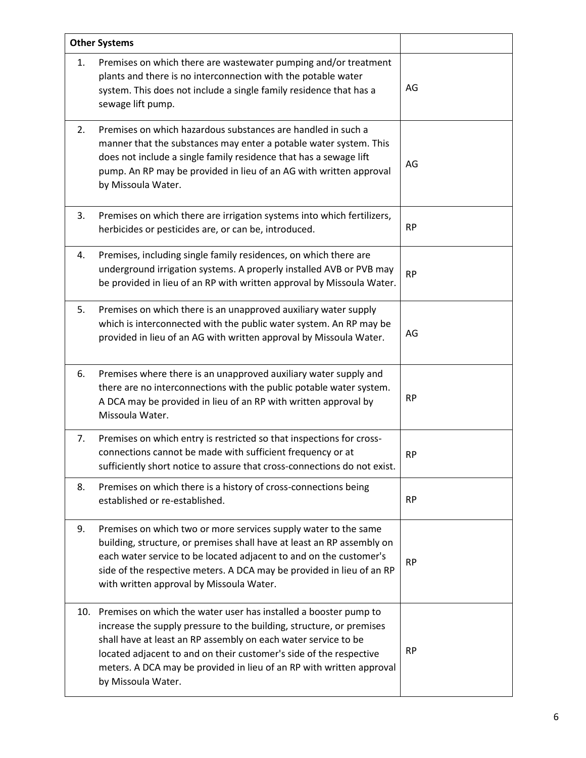|    | <b>Other Systems</b>                                                                                                                                                                                                                                                                                                                                                               |           |
|----|------------------------------------------------------------------------------------------------------------------------------------------------------------------------------------------------------------------------------------------------------------------------------------------------------------------------------------------------------------------------------------|-----------|
| 1. | Premises on which there are wastewater pumping and/or treatment<br>plants and there is no interconnection with the potable water<br>system. This does not include a single family residence that has a<br>sewage lift pump.                                                                                                                                                        | AG        |
| 2. | Premises on which hazardous substances are handled in such a<br>manner that the substances may enter a potable water system. This<br>does not include a single family residence that has a sewage lift<br>pump. An RP may be provided in lieu of an AG with written approval<br>by Missoula Water.                                                                                 | AG        |
| 3. | Premises on which there are irrigation systems into which fertilizers,<br>herbicides or pesticides are, or can be, introduced.                                                                                                                                                                                                                                                     | <b>RP</b> |
| 4. | Premises, including single family residences, on which there are<br>underground irrigation systems. A properly installed AVB or PVB may<br>be provided in lieu of an RP with written approval by Missoula Water.                                                                                                                                                                   | <b>RP</b> |
| 5. | Premises on which there is an unapproved auxiliary water supply<br>which is interconnected with the public water system. An RP may be<br>provided in lieu of an AG with written approval by Missoula Water.                                                                                                                                                                        | AG        |
| 6. | Premises where there is an unapproved auxiliary water supply and<br>there are no interconnections with the public potable water system.<br>A DCA may be provided in lieu of an RP with written approval by<br>Missoula Water.                                                                                                                                                      | <b>RP</b> |
| 7. | Premises on which entry is restricted so that inspections for cross-<br>connections cannot be made with sufficient frequency or at<br>sufficiently short notice to assure that cross-connections do not exist.                                                                                                                                                                     | <b>RP</b> |
| 8. | Premises on which there is a history of cross-connections being<br>established or re-established.                                                                                                                                                                                                                                                                                  | <b>RP</b> |
| 9. | Premises on which two or more services supply water to the same<br>building, structure, or premises shall have at least an RP assembly on<br>each water service to be located adjacent to and on the customer's<br>side of the respective meters. A DCA may be provided in lieu of an RP<br>with written approval by Missoula Water.                                               | <b>RP</b> |
|    | 10. Premises on which the water user has installed a booster pump to<br>increase the supply pressure to the building, structure, or premises<br>shall have at least an RP assembly on each water service to be<br>located adjacent to and on their customer's side of the respective<br>meters. A DCA may be provided in lieu of an RP with written approval<br>by Missoula Water. | <b>RP</b> |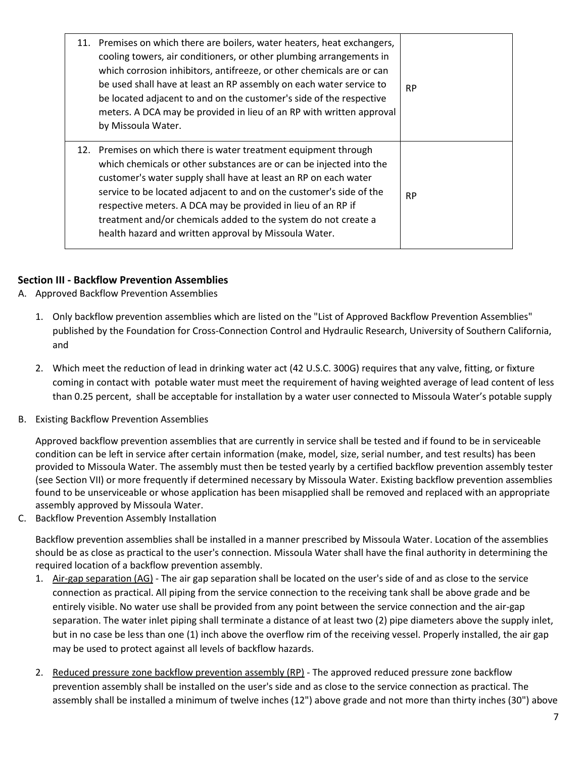| 11. Premises on which there are boilers, water heaters, heat exchangers,<br>cooling towers, air conditioners, or other plumbing arrangements in<br>which corrosion inhibitors, antifreeze, or other chemicals are or can<br>be used shall have at least an RP assembly on each water service to<br>be located adjacent to and on the customer's side of the respective<br>meters. A DCA may be provided in lieu of an RP with written approval<br>by Missoula Water.         | <b>RP</b> |
|------------------------------------------------------------------------------------------------------------------------------------------------------------------------------------------------------------------------------------------------------------------------------------------------------------------------------------------------------------------------------------------------------------------------------------------------------------------------------|-----------|
| 12. Premises on which there is water treatment equipment through<br>which chemicals or other substances are or can be injected into the<br>customer's water supply shall have at least an RP on each water<br>service to be located adjacent to and on the customer's side of the<br>respective meters. A DCA may be provided in lieu of an RP if<br>treatment and/or chemicals added to the system do not create a<br>health hazard and written approval by Missoula Water. | <b>RP</b> |

# **Section III - Backflow Prevention Assemblies**

- A. Approved Backflow Prevention Assemblies
	- 1. Only backflow prevention assemblies which are listed on the "List of Approved Backflow Prevention Assemblies" published by the Foundation for Cross-Connection Control and Hydraulic Research, University of Southern California, and
	- 2. Which meet the reduction of lead in drinking water act (42 U.S.C. 300G) requires that any valve, fitting, or fixture coming in contact with potable water must meet the requirement of having weighted average of lead content of less than 0.25 percent, shall be acceptable for installation by a water user connected to Missoula Water's potable supply
- B. Existing Backflow Prevention Assemblies

Approved backflow prevention assemblies that are currently in service shall be tested and if found to be in serviceable condition can be left in service after certain information (make, model, size, serial number, and test results) has been provided to Missoula Water. The assembly must then be tested yearly by a certified backflow prevention assembly tester (see Section VII) or more frequently if determined necessary by Missoula Water. Existing backflow prevention assemblies found to be unserviceable or whose application has been misapplied shall be removed and replaced with an appropriate assembly approved by Missoula Water.

C. Backflow Prevention Assembly Installation

Backflow prevention assemblies shall be installed in a manner prescribed by Missoula Water. Location of the assemblies should be as close as practical to the user's connection. Missoula Water shall have the final authority in determining the required location of a backflow prevention assembly.

- 1. Air-gap separation (AG) The air gap separation shall be located on the user's side of and as close to the service connection as practical. All piping from the service connection to the receiving tank shall be above grade and be entirely visible. No water use shall be provided from any point between the service connection and the air-gap separation. The water inlet piping shall terminate a distance of at least two (2) pipe diameters above the supply inlet, but in no case be less than one (1) inch above the overflow rim of the receiving vessel. Properly installed, the air gap may be used to protect against all levels of backflow hazards.
- 2. Reduced pressure zone backflow prevention assembly (RP) The approved reduced pressure zone backflow prevention assembly shall be installed on the user's side and as close to the service connection as practical. The assembly shall be installed a minimum of twelve inches (12") above grade and not more than thirty inches (30") above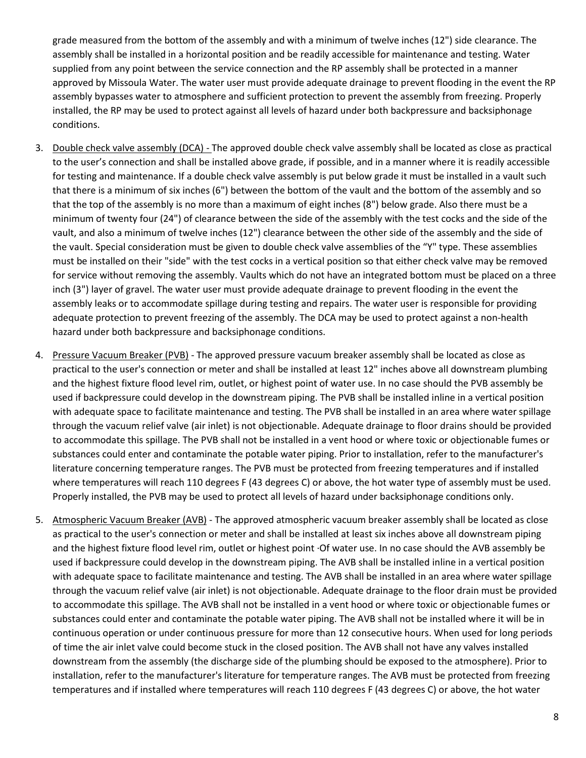grade measured from the bottom of the assembly and with a minimum of twelve inches (12") side clearance. The assembly shall be installed in a horizontal position and be readily accessible for maintenance and testing. Water supplied from any point between the service connection and the RP assembly shall be protected in a manner approved by Missoula Water. The water user must provide adequate drainage to prevent flooding in the event the RP assembly bypasses water to atmosphere and sufficient protection to prevent the assembly from freezing. Properly installed, the RP may be used to protect against all levels of hazard under both backpressure and backsiphonage conditions.

- 3. Double check valve assembly (DCA) The approved double check valve assembly shall be located as close as practical to the user's connection and shall be installed above grade, if possible, and in a manner where it is readily accessible for testing and maintenance. If a double check valve assembly is put below grade it must be installed in a vault such that there is a minimum of six inches (6") between the bottom of the vault and the bottom of the assembly and so that the top of the assembly is no more than a maximum of eight inches (8") below grade. Also there must be a minimum of twenty four (24") of clearance between the side of the assembly with the test cocks and the side of the vault, and also a minimum of twelve inches (12") clearance between the other side of the assembly and the side of the vault. Special consideration must be given to double check valve assemblies of the "Y" type. These assemblies must be installed on their "side" with the test cocks in a vertical position so that either check valve may be removed for service without removing the assembly. Vaults which do not have an integrated bottom must be placed on a three inch (3") layer of gravel. The water user must provide adequate drainage to prevent flooding in the event the assembly leaks or to accommodate spillage during testing and repairs. The water user is responsible for providing adequate protection to prevent freezing of the assembly. The DCA may be used to protect against a non-health hazard under both backpressure and backsiphonage conditions.
- 4. Pressure Vacuum Breaker (PVB) The approved pressure vacuum breaker assembly shall be located as close as practical to the user's connection or meter and shall be installed at least 12" inches above all downstream plumbing and the highest fixture flood level rim, outlet, or highest point of water use. In no case should the PVB assembly be used if backpressure could develop in the downstream piping. The PVB shall be installed inline in a vertical position with adequate space to facilitate maintenance and testing. The PVB shall be installed in an area where water spillage through the vacuum relief valve (air inlet) is not objectionable. Adequate drainage to floor drains should be provided to accommodate this spillage. The PVB shall not be installed in a vent hood or where toxic or objectionable fumes or substances could enter and contaminate the potable water piping. Prior to installation, refer to the manufacturer's literature concerning temperature ranges. The PVB must be protected from freezing temperatures and if installed where temperatures will reach 110 degrees F (43 degrees C) or above, the hot water type of assembly must be used. Properly installed, the PVB may be used to protect all levels of hazard under backsiphonage conditions only.
- 5. Atmospheric Vacuum Breaker (AVB) The approved atmospheric vacuum breaker assembly shall be located as close as practical to the user's connection or meter and shall be installed at least six inches above all downstream piping and the highest fixture flood level rim, outlet or highest point ·Of water use. In no case should the AVB assembly be used if backpressure could develop in the downstream piping. The AVB shall be installed inline in a vertical position with adequate space to facilitate maintenance and testing. The AVB shall be installed in an area where water spillage through the vacuum relief valve (air inlet) is not objectionable. Adequate drainage to the floor drain must be provided to accommodate this spillage. The AVB shall not be installed in a vent hood or where toxic or objectionable fumes or substances could enter and contaminate the potable water piping. The AVB shall not be installed where it will be in continuous operation or under continuous pressure for more than 12 consecutive hours. When used for long periods of time the air inlet valve could become stuck in the closed position. The AVB shall not have any valves installed downstream from the assembly (the discharge side of the plumbing should be exposed to the atmosphere). Prior to installation, refer to the manufacturer's literature for temperature ranges. The AVB must be protected from freezing temperatures and if installed where temperatures will reach 110 degrees F (43 degrees C) or above, the hot water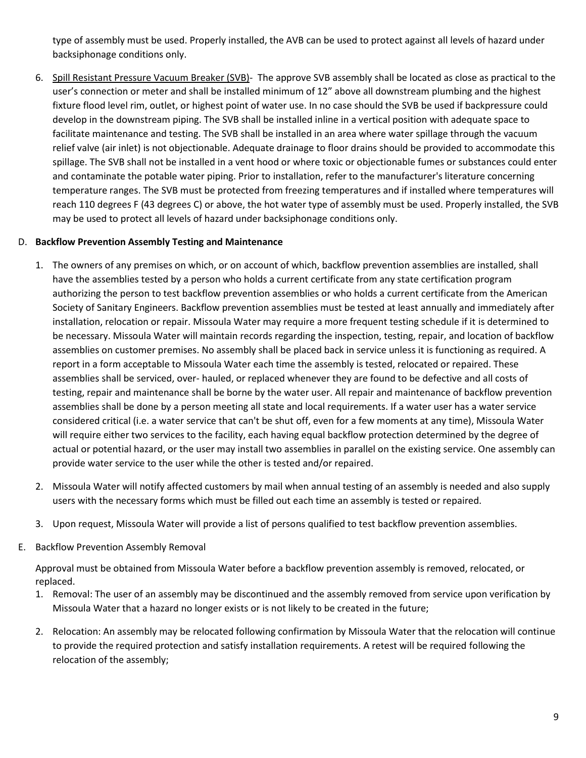type of assembly must be used. Properly installed, the AVB can be used to protect against all levels of hazard under backsiphonage conditions only.

6. Spill Resistant Pressure Vacuum Breaker (SVB)- The approve SVB assembly shall be located as close as practical to the user's connection or meter and shall be installed minimum of 12" above all downstream plumbing and the highest fixture flood level rim, outlet, or highest point of water use. In no case should the SVB be used if backpressure could develop in the downstream piping. The SVB shall be installed inline in a vertical position with adequate space to facilitate maintenance and testing. The SVB shall be installed in an area where water spillage through the vacuum relief valve (air inlet) is not objectionable. Adequate drainage to floor drains should be provided to accommodate this spillage. The SVB shall not be installed in a vent hood or where toxic or objectionable fumes or substances could enter and contaminate the potable water piping. Prior to installation, refer to the manufacturer's literature concerning temperature ranges. The SVB must be protected from freezing temperatures and if installed where temperatures will reach 110 degrees F (43 degrees C) or above, the hot water type of assembly must be used. Properly installed, the SVB may be used to protect all levels of hazard under backsiphonage conditions only.

## D. **Backflow Prevention Assembly Testing and Maintenance**

- 1. The owners of any premises on which, or on account of which, backflow prevention assemblies are installed, shall have the assemblies tested by a person who holds a current certificate from any state certification program authorizing the person to test backflow prevention assemblies or who holds a current certificate from the American Society of Sanitary Engineers. Backflow prevention assemblies must be tested at least annually and immediately after installation, relocation or repair. Missoula Water may require a more frequent testing schedule if it is determined to be necessary. Missoula Water will maintain records regarding the inspection, testing, repair, and location of backflow assemblies on customer premises. No assembly shall be placed back in service unless it is functioning as required. A report in a form acceptable to Missoula Water each time the assembly is tested, relocated or repaired. These assemblies shall be serviced, over- hauled, or replaced whenever they are found to be defective and all costs of testing, repair and maintenance shall be borne by the water user. All repair and maintenance of backflow prevention assemblies shall be done by a person meeting all state and local requirements. If a water user has a water service considered critical (i.e. a water service that can't be shut off, even for a few moments at any time), Missoula Water will require either two services to the facility, each having equal backflow protection determined by the degree of actual or potential hazard, or the user may install two assemblies in parallel on the existing service. One assembly can provide water service to the user while the other is tested and/or repaired.
- 2. Missoula Water will notify affected customers by mail when annual testing of an assembly is needed and also supply users with the necessary forms which must be filled out each time an assembly is tested or repaired.
- 3. Upon request, Missoula Water will provide a list of persons qualified to test backflow prevention assemblies.
- E. Backflow Prevention Assembly Removal

Approval must be obtained from Missoula Water before a backflow prevention assembly is removed, relocated, or replaced.

- 1. Removal: The user of an assembly may be discontinued and the assembly removed from service upon verification by Missoula Water that a hazard no longer exists or is not likely to be created in the future;
- 2. Relocation: An assembly may be relocated following confirmation by Missoula Water that the relocation will continue to provide the required protection and satisfy installation requirements. A retest will be required following the relocation of the assembly;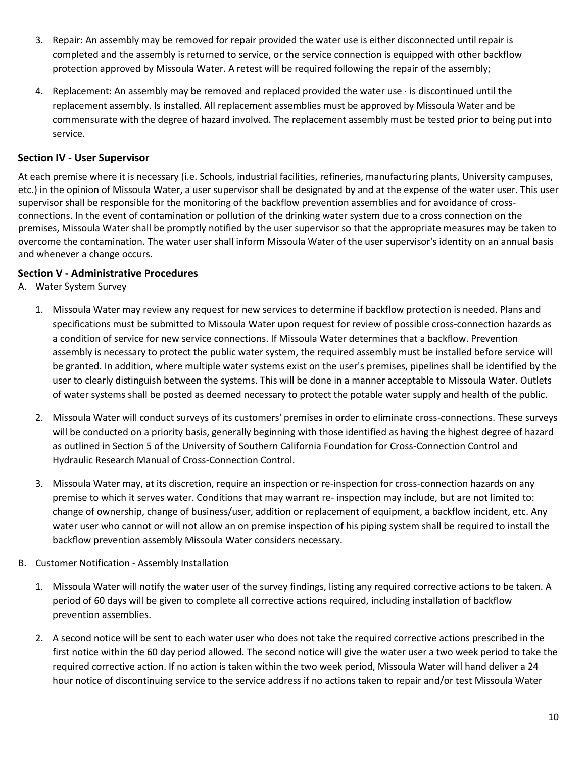- 3. Repair: An assembly may be removed for repair provided the water use is either disconnected until repair is completed and the assembly is returned to service, or the service connection is equipped with other backflow protection approved by Missoula Water. A retest will be required following the repair of the assembly;
- 4. Replacement: An assembly may be removed and replaced provided the water use · is discontinued until the replacement assembly. Is installed. All replacement assemblies must be approved by Missoula Water and be commensurate with the degree of hazard involved. The replacement assembly must be tested prior to being put into service.

# **Section IV - User Supervisor**

At each premise where it is necessary (i.e. Schools, industrial facilities, refineries, manufacturing plants, University campuses, etc.) in the opinion of Missoula Water, a user supervisor shall be designated by and at the expense of the water user. This user supervisor shall be responsible for the monitoring of the backflow prevention assemblies and for avoidance of crossconnections. In the event of contamination or pollution of the drinking water system due to a cross connection on the premises, Missoula Water shall be promptly notified by the user supervisor so that the appropriate measures may be taken to overcome the contamination. The water user shall inform Missoula Water of the user supervisor's identity on an annual basis and whenever a change occurs.

## **Section V - Administrative Procedures**

- A. Water System Survey
	- 1. Missoula Water may review any request for new services to determine if backflow protection is needed. Plans and specifications must be submitted to Missoula Water upon request for review of possible cross-connection hazards as a condition of service for new service connections. If Missoula Water determines that a backflow. Prevention assembly is necessary to protect the public water system, the required assembly must be installed before service will be granted. In addition, where multiple water systems exist on the user's premises, pipelines shall be identified by the user to clearly distinguish between the systems. This will be done in a manner acceptable to Missoula Water. Outlets of water systems shall be posted as deemed necessary to protect the potable water supply and health of the public.
	- 2. Missoula Water will conduct surveys of its customers' premises in order to eliminate cross-connections. These surveys will be conducted on a priority basis, generally beginning with those identified as having the highest degree of hazard as outlined in Section 5 of the University of Southern California Foundation for Cross-Connection Control and Hydraulic Research Manual of Cross-Connection Control.
	- 3. Missoula Water may, at its discretion, require an inspection or re-inspection for cross-connection hazards on any premise to which it serves water. Conditions that may warrant re- inspection may include, but are not limited to: change of ownership, change of business/user, addition or replacement of equipment, a backflow incident, etc. Any water user who cannot or will not allow an on premise inspection of his piping system shall be required to install the backflow prevention assembly Missoula Water considers necessary.
- B. Customer Notification Assembly Installation
	- 1. Missoula Water will notify the water user of the survey findings, listing any required corrective actions to be taken. A period of 60 days will be given to complete all corrective actions required, including installation of backflow prevention assemblies.
	- 2. A second notice will be sent to each water user who does not take the required corrective actions prescribed in the first notice within the 60 day period allowed. The second notice will give the water user a two week period to take the required corrective action. If no action is taken within the two week period, Missoula Water will hand deliver a 24 hour notice of discontinuing service to the service address if no actions taken to repair and/or test Missoula Water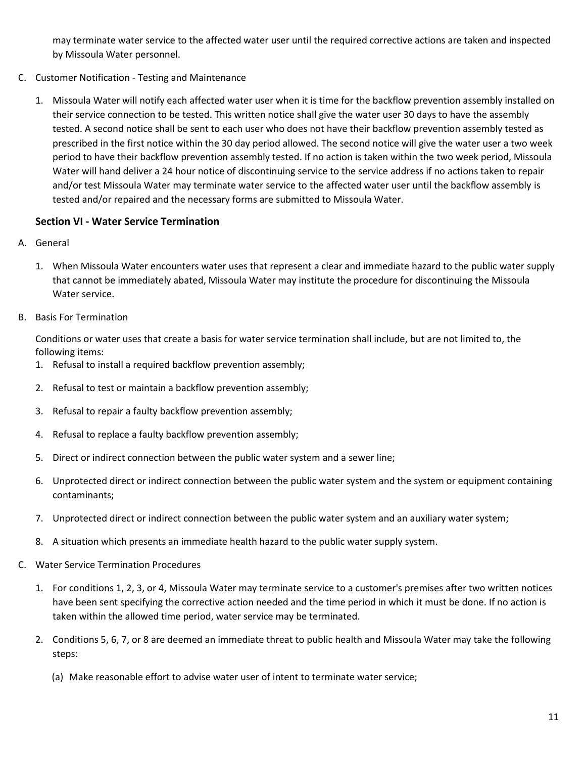may terminate water service to the affected water user until the required corrective actions are taken and inspected by Missoula Water personnel.

- C. Customer Notification Testing and Maintenance
	- 1. Missoula Water will notify each affected water user when it is time for the backflow prevention assembly installed on their service connection to be tested. This written notice shall give the water user 30 days to have the assembly tested. A second notice shall be sent to each user who does not have their backflow prevention assembly tested as prescribed in the first notice within the 30 day period allowed. The second notice will give the water user a two week period to have their backflow prevention assembly tested. If no action is taken within the two week period, Missoula Water will hand deliver a 24 hour notice of discontinuing service to the service address if no actions taken to repair and/or test Missoula Water may terminate water service to the affected water user until the backflow assembly is tested and/or repaired and the necessary forms are submitted to Missoula Water.

# **Section VI - Water Service Termination**

- A. General
	- 1. When Missoula Water encounters water uses that represent a clear and immediate hazard to the public water supply that cannot be immediately abated, Missoula Water may institute the procedure for discontinuing the Missoula Water service.
- B. Basis For Termination

Conditions or water uses that create a basis for water service termination shall include, but are not limited to, the following items:

- 1. Refusal to install a required backflow prevention assembly;
- 2. Refusal to test or maintain a backflow prevention assembly;
- 3. Refusal to repair a faulty backflow prevention assembly;
- 4. Refusal to replace a faulty backflow prevention assembly;
- 5. Direct or indirect connection between the public water system and a sewer line;
- 6. Unprotected direct or indirect connection between the public water system and the system or equipment containing contaminants;
- 7. Unprotected direct or indirect connection between the public water system and an auxiliary water system;
- 8. A situation which presents an immediate health hazard to the public water supply system.
- C. Water Service Termination Procedures
	- 1. For conditions 1, 2, 3, or 4, Missoula Water may terminate service to a customer's premises after two written notices have been sent specifying the corrective action needed and the time period in which it must be done. If no action is taken within the allowed time period, water service may be terminated.
	- 2. Conditions 5, 6, 7, or 8 are deemed an immediate threat to public health and Missoula Water may take the following steps:
		- (a) Make reasonable effort to advise water user of intent to terminate water service;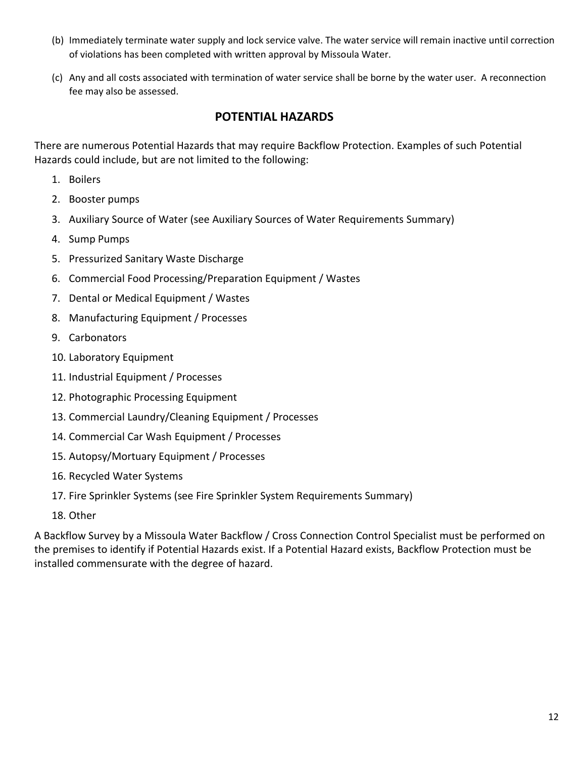- (b) Immediately terminate water supply and lock service valve. The water service will remain inactive until correction of violations has been completed with written approval by Missoula Water.
- (c) Any and all costs associated with termination of water service shall be borne by the water user. A reconnection fee may also be assessed.

# **POTENTIAL HAZARDS**

There are numerous Potential Hazards that may require Backflow Protection. Examples of such Potential Hazards could include, but are not limited to the following:

- 1. Boilers
- 2. Booster pumps
- 3. Auxiliary Source of Water (see Auxiliary Sources of Water Requirements Summary)
- 4. Sump Pumps
- 5. Pressurized Sanitary Waste Discharge
- 6. Commercial Food Processing/Preparation Equipment / Wastes
- 7. Dental or Medical Equipment / Wastes
- 8. Manufacturing Equipment / Processes
- 9. Carbonators
- 10. Laboratory Equipment
- 11. Industrial Equipment / Processes
- 12. Photographic Processing Equipment
- 13. Commercial Laundry/Cleaning Equipment / Processes
- 14. Commercial Car Wash Equipment / Processes
- 15. Autopsy/Mortuary Equipment / Processes
- 16. Recycled Water Systems
- 17. Fire Sprinkler Systems (see Fire Sprinkler System Requirements Summary)
- 18. Other

A Backflow Survey by a Missoula Water Backflow / Cross Connection Control Specialist must be performed on the premises to identify if Potential Hazards exist. If a Potential Hazard exists, Backflow Protection must be installed commensurate with the degree of hazard.